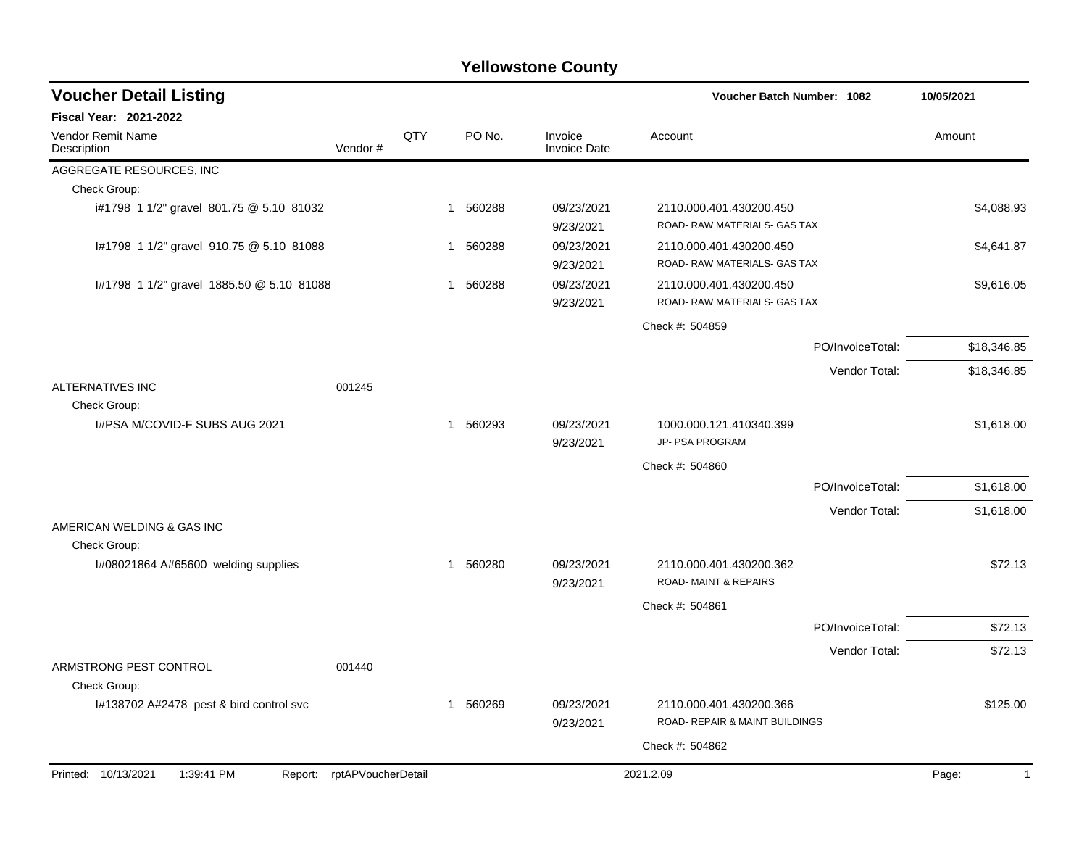| <b>Voucher Detail Listing</b>                      |                    |     |          |                                | Voucher Batch Number: 1082                                |                  | 10/05/2021            |
|----------------------------------------------------|--------------------|-----|----------|--------------------------------|-----------------------------------------------------------|------------------|-----------------------|
| <b>Fiscal Year: 2021-2022</b>                      |                    |     |          |                                |                                                           |                  |                       |
| <b>Vendor Remit Name</b><br>Vendor#<br>Description |                    | QTY | PO No.   | Invoice<br><b>Invoice Date</b> | Account                                                   |                  | Amount                |
| AGGREGATE RESOURCES, INC                           |                    |     |          |                                |                                                           |                  |                       |
| Check Group:                                       |                    |     |          |                                |                                                           |                  |                       |
| i#1798 1 1/2" gravel 801.75 @ 5.10 81032           |                    |     | 1 560288 | 09/23/2021<br>9/23/2021        | 2110.000.401.430200.450<br>ROAD- RAW MATERIALS- GAS TAX   |                  | \$4,088.93            |
| I#1798 1 1/2" gravel 910.75 @ 5.10 81088           |                    |     | 1 560288 | 09/23/2021<br>9/23/2021        | 2110.000.401.430200.450<br>ROAD- RAW MATERIALS- GAS TAX   |                  | \$4,641.87            |
| #1798 1 1/2" gravel 1885.50 @ 5.10 81088           |                    |     | 1 560288 | 09/23/2021<br>9/23/2021        | 2110.000.401.430200.450<br>ROAD- RAW MATERIALS- GAS TAX   |                  | \$9,616.05            |
|                                                    |                    |     |          |                                | Check #: 504859                                           |                  |                       |
|                                                    |                    |     |          |                                |                                                           | PO/InvoiceTotal: | \$18,346.85           |
| <b>ALTERNATIVES INC</b><br>001245                  |                    |     |          |                                |                                                           | Vendor Total:    | \$18,346.85           |
| Check Group:                                       |                    |     |          |                                |                                                           |                  |                       |
| I#PSA M/COVID-F SUBS AUG 2021                      |                    |     | 1 560293 | 09/23/2021<br>9/23/2021        | 1000.000.121.410340.399<br>JP- PSA PROGRAM                |                  | \$1,618.00            |
|                                                    |                    |     |          |                                | Check #: 504860                                           |                  |                       |
|                                                    |                    |     |          |                                |                                                           | PO/InvoiceTotal: | \$1,618.00            |
|                                                    |                    |     |          |                                |                                                           | Vendor Total:    | \$1,618.00            |
| AMERICAN WELDING & GAS INC<br>Check Group:         |                    |     |          |                                |                                                           |                  |                       |
| I#08021864 A#65600 welding supplies                |                    |     | 1 560280 | 09/23/2021<br>9/23/2021        | 2110.000.401.430200.362<br>ROAD-MAINT & REPAIRS           |                  | \$72.13               |
|                                                    |                    |     |          |                                | Check #: 504861                                           |                  |                       |
|                                                    |                    |     |          |                                |                                                           | PO/InvoiceTotal: | \$72.13               |
|                                                    |                    |     |          |                                |                                                           | Vendor Total:    | \$72.13               |
| ARMSTRONG PEST CONTROL<br>001440<br>Check Group:   |                    |     |          |                                |                                                           |                  |                       |
| I#138702 A#2478 pest & bird control svc            |                    |     | 1 560269 | 09/23/2021<br>9/23/2021        | 2110.000.401.430200.366<br>ROAD- REPAIR & MAINT BUILDINGS |                  | \$125.00              |
|                                                    |                    |     |          |                                | Check #: 504862                                           |                  |                       |
| Printed: 10/13/2021<br>1:39:41 PM<br>Report:       | rptAPVoucherDetail |     |          |                                | 2021.2.09                                                 |                  | Page:<br>$\mathbf{1}$ |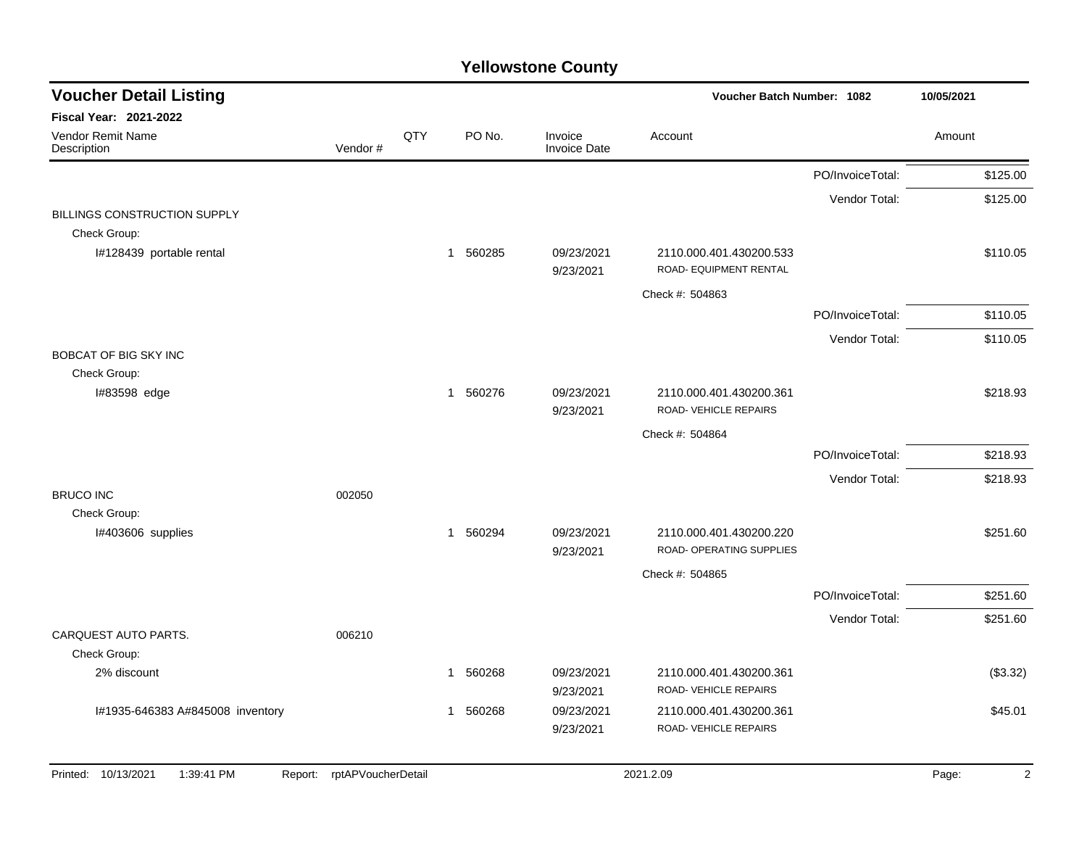| <b>Voucher Detail Listing</b>                   |                    |     |          |                                | Voucher Batch Number: 1082                        |                  | 10/05/2021 |          |  |
|-------------------------------------------------|--------------------|-----|----------|--------------------------------|---------------------------------------------------|------------------|------------|----------|--|
| <b>Fiscal Year: 2021-2022</b>                   |                    |     |          |                                |                                                   |                  |            |          |  |
| Vendor Remit Name<br>Description                | Vendor#            | QTY | PO No.   | Invoice<br><b>Invoice Date</b> | Account                                           |                  | Amount     |          |  |
|                                                 |                    |     |          |                                |                                                   | PO/InvoiceTotal: |            | \$125.00 |  |
| BILLINGS CONSTRUCTION SUPPLY                    |                    |     |          |                                |                                                   | Vendor Total:    |            | \$125.00 |  |
| Check Group:                                    |                    |     |          |                                |                                                   |                  |            |          |  |
| I#128439 portable rental                        |                    |     | 1 560285 | 09/23/2021<br>9/23/2021        | 2110.000.401.430200.533<br>ROAD- EQUIPMENT RENTAL |                  |            | \$110.05 |  |
|                                                 |                    |     |          |                                | Check #: 504863                                   |                  |            |          |  |
|                                                 |                    |     |          |                                |                                                   | PO/InvoiceTotal: |            | \$110.05 |  |
|                                                 |                    |     |          |                                |                                                   | Vendor Total:    |            | \$110.05 |  |
| <b>BOBCAT OF BIG SKY INC</b><br>Check Group:    |                    |     |          |                                |                                                   |                  |            |          |  |
| I#83598 edge                                    |                    |     | 1 560276 | 09/23/2021<br>9/23/2021        | 2110.000.401.430200.361<br>ROAD-VEHICLE REPAIRS   |                  |            | \$218.93 |  |
|                                                 |                    |     |          |                                | Check #: 504864                                   |                  |            |          |  |
|                                                 |                    |     |          |                                |                                                   | PO/InvoiceTotal: |            | \$218.93 |  |
|                                                 |                    |     |          |                                |                                                   | Vendor Total:    |            | \$218.93 |  |
| <b>BRUCO INC</b>                                | 002050             |     |          |                                |                                                   |                  |            |          |  |
| Check Group:<br>I#403606 supplies               |                    |     | 1 560294 | 09/23/2021                     | 2110.000.401.430200.220                           |                  |            | \$251.60 |  |
|                                                 |                    |     |          | 9/23/2021                      | ROAD- OPERATING SUPPLIES                          |                  |            |          |  |
|                                                 |                    |     |          |                                | Check #: 504865                                   |                  |            |          |  |
|                                                 |                    |     |          |                                |                                                   | PO/InvoiceTotal: |            | \$251.60 |  |
| CARQUEST AUTO PARTS.                            | 006210             |     |          |                                |                                                   | Vendor Total:    |            | \$251.60 |  |
| Check Group:                                    |                    |     |          |                                |                                                   |                  |            |          |  |
| 2% discount                                     |                    |     | 1 560268 | 09/23/2021<br>9/23/2021        | 2110.000.401.430200.361<br>ROAD-VEHICLE REPAIRS   |                  |            | (\$3.32) |  |
| I#1935-646383 A#845008 inventory                |                    |     | 1 560268 | 09/23/2021<br>9/23/2021        | 2110.000.401.430200.361<br>ROAD-VEHICLE REPAIRS   |                  |            | \$45.01  |  |
| 10/13/2021<br>1:39:41 PM<br>Printed:<br>Report: | rptAPVoucherDetail |     |          |                                | 2021.2.09                                         |                  | Page:      | 2        |  |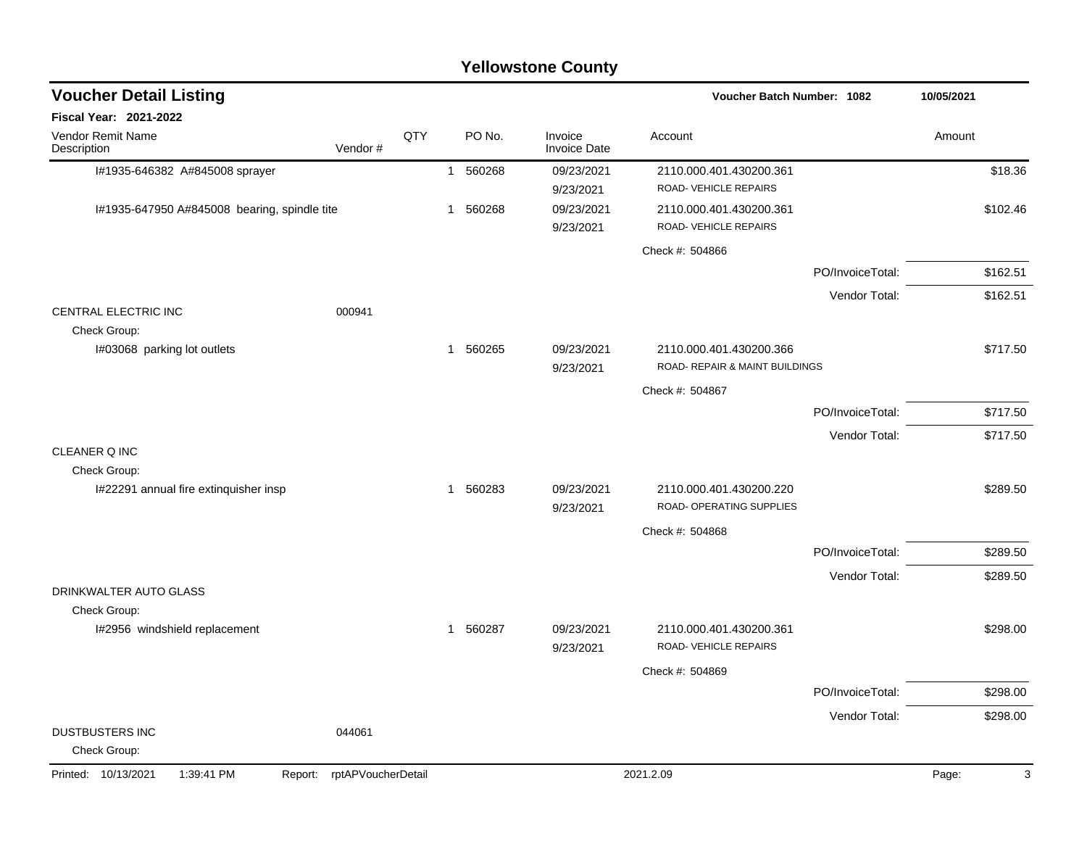|                                               |                    |     |              |          | <b>Yellowstone County</b>      |                                                     |                  |            |
|-----------------------------------------------|--------------------|-----|--------------|----------|--------------------------------|-----------------------------------------------------|------------------|------------|
| <b>Voucher Detail Listing</b>                 |                    |     |              |          |                                | Voucher Batch Number: 1082                          |                  | 10/05/2021 |
| <b>Fiscal Year: 2021-2022</b>                 |                    |     |              |          |                                |                                                     |                  |            |
| Vendor Remit Name<br>Description              | Vendor#            | QTY |              | PO No.   | Invoice<br><b>Invoice Date</b> | Account                                             |                  | Amount     |
| I#1935-646382 A#845008 sprayer                |                    |     | $\mathbf{1}$ | 560268   | 09/23/2021<br>9/23/2021        | 2110.000.401.430200.361<br>ROAD-VEHICLE REPAIRS     |                  | \$18.36    |
| I#1935-647950 A#845008 bearing, spindle tite  |                    |     | 1            | 560268   | 09/23/2021<br>9/23/2021        | 2110.000.401.430200.361<br>ROAD-VEHICLE REPAIRS     |                  | \$102.46   |
|                                               |                    |     |              |          |                                | Check #: 504866                                     |                  |            |
|                                               |                    |     |              |          |                                |                                                     | PO/InvoiceTotal: | \$162.51   |
|                                               |                    |     |              |          |                                |                                                     | Vendor Total:    | \$162.51   |
| CENTRAL ELECTRIC INC<br>Check Group:          | 000941             |     |              |          |                                |                                                     |                  |            |
| I#03068 parking lot outlets                   |                    |     | 1            | 560265   | 09/23/2021                     | 2110.000.401.430200.366                             |                  | \$717.50   |
|                                               |                    |     |              |          | 9/23/2021                      | ROAD- REPAIR & MAINT BUILDINGS                      |                  |            |
|                                               |                    |     |              |          |                                | Check #: 504867                                     |                  |            |
|                                               |                    |     |              |          |                                |                                                     | PO/InvoiceTotal: | \$717.50   |
| CLEANER Q INC                                 |                    |     |              |          |                                |                                                     | Vendor Total:    | \$717.50   |
| Check Group:                                  |                    |     |              |          |                                |                                                     |                  |            |
| I#22291 annual fire extinquisher insp         |                    |     | 1            | 560283   | 09/23/2021<br>9/23/2021        | 2110.000.401.430200.220<br>ROAD- OPERATING SUPPLIES |                  | \$289.50   |
|                                               |                    |     |              |          |                                | Check #: 504868                                     |                  |            |
|                                               |                    |     |              |          |                                |                                                     | PO/InvoiceTotal: | \$289.50   |
|                                               |                    |     |              |          |                                |                                                     | Vendor Total:    | \$289.50   |
| DRINKWALTER AUTO GLASS                        |                    |     |              |          |                                |                                                     |                  |            |
| Check Group:<br>I#2956 windshield replacement |                    |     |              | 1 560287 | 09/23/2021                     | 2110.000.401.430200.361                             |                  | \$298.00   |
|                                               |                    |     |              |          | 9/23/2021                      | ROAD-VEHICLE REPAIRS                                |                  |            |
|                                               |                    |     |              |          |                                | Check #: 504869                                     |                  |            |
|                                               |                    |     |              |          |                                |                                                     | PO/InvoiceTotal: | \$298.00   |
|                                               |                    |     |              |          |                                |                                                     | Vendor Total:    | \$298.00   |
| <b>DUSTBUSTERS INC</b><br>Check Group:        | 044061             |     |              |          |                                |                                                     |                  |            |
| Printed: 10/13/2021<br>1:39:41 PM<br>Report:  | rptAPVoucherDetail |     |              |          |                                | 2021.2.09                                           |                  | Page:<br>3 |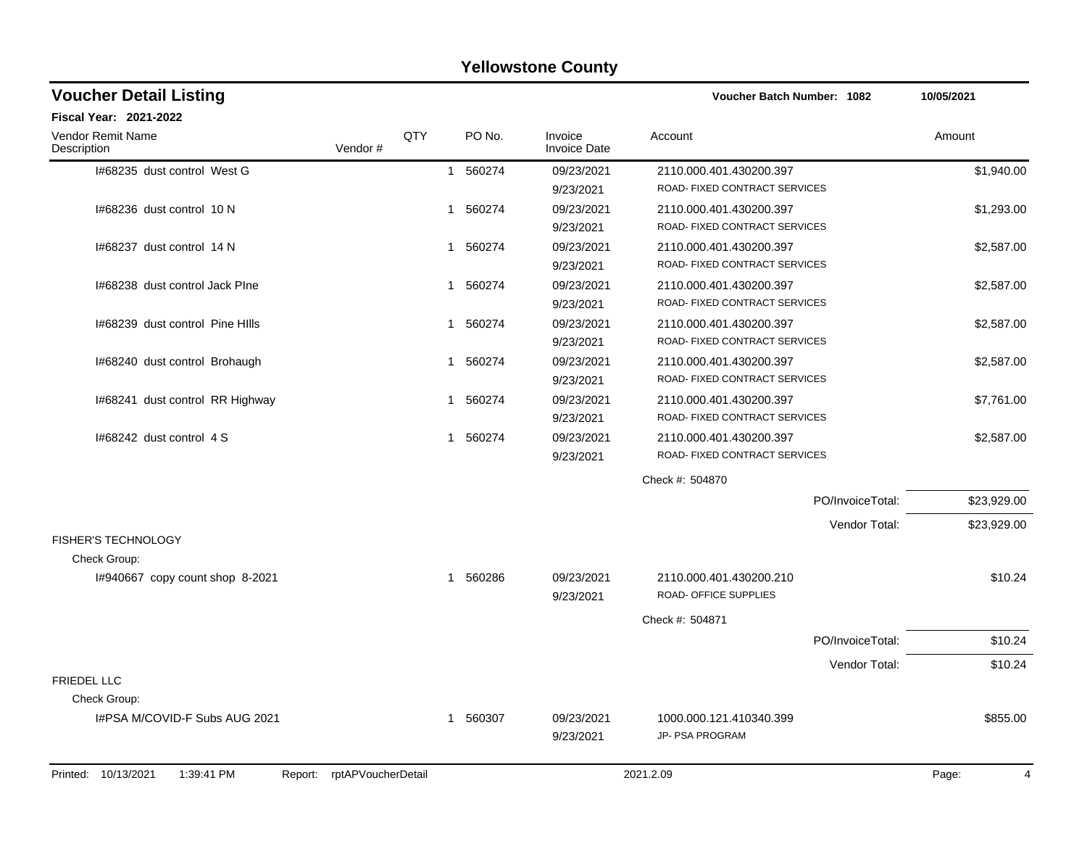| <b>Voucher Detail Listing</b>                |                    |          |                                | Voucher Batch Number: 1082                               |                  | 10/05/2021              |
|----------------------------------------------|--------------------|----------|--------------------------------|----------------------------------------------------------|------------------|-------------------------|
| <b>Fiscal Year: 2021-2022</b>                |                    |          |                                |                                                          |                  |                         |
| Vendor Remit Name<br>Description             | QTY<br>Vendor#     | PO No.   | Invoice<br><b>Invoice Date</b> | Account                                                  |                  | Amount                  |
| 1#68235 dust control West G                  |                    | 1 560274 | 09/23/2021                     | 2110.000.401.430200.397                                  |                  | \$1,940.00              |
|                                              |                    |          | 9/23/2021                      | ROAD- FIXED CONTRACT SERVICES                            |                  |                         |
| I#68236 dust control 10 N                    |                    | 1 560274 | 09/23/2021                     | 2110.000.401.430200.397                                  |                  | \$1,293.00              |
|                                              |                    |          | 9/23/2021                      | ROAD- FIXED CONTRACT SERVICES                            |                  |                         |
| I#68237 dust control 14 N                    |                    | 1 560274 | 09/23/2021                     | 2110.000.401.430200.397                                  |                  | \$2,587.00              |
|                                              |                    |          | 9/23/2021                      | ROAD- FIXED CONTRACT SERVICES                            |                  |                         |
| I#68238 dust control Jack PIne               |                    | 1 560274 | 09/23/2021                     | 2110.000.401.430200.397                                  |                  | \$2,587.00              |
|                                              |                    |          | 9/23/2021                      | ROAD- FIXED CONTRACT SERVICES                            |                  |                         |
| I#68239 dust control Pine HIIIs              |                    | 1 560274 | 09/23/2021                     | 2110.000.401.430200.397                                  |                  | \$2,587.00              |
|                                              |                    |          | 9/23/2021                      | ROAD- FIXED CONTRACT SERVICES                            |                  |                         |
| I#68240 dust control Brohaugh                |                    | 1 560274 | 09/23/2021                     | 2110.000.401.430200.397                                  |                  | \$2,587.00              |
|                                              |                    |          | 9/23/2021                      | ROAD- FIXED CONTRACT SERVICES                            |                  |                         |
| I#68241 dust control RR Highway              |                    | 1 560274 | 09/23/2021                     | 2110.000.401.430200.397<br>ROAD- FIXED CONTRACT SERVICES |                  | \$7,761.00              |
|                                              |                    |          | 9/23/2021                      |                                                          |                  |                         |
| I#68242 dust control 4 S                     |                    | 1 560274 | 09/23/2021<br>9/23/2021        | 2110.000.401.430200.397<br>ROAD- FIXED CONTRACT SERVICES |                  | \$2,587.00              |
|                                              |                    |          |                                | Check #: 504870                                          |                  |                         |
|                                              |                    |          |                                |                                                          |                  |                         |
|                                              |                    |          |                                |                                                          | PO/InvoiceTotal: | \$23,929.00             |
|                                              |                    |          |                                |                                                          | Vendor Total:    | \$23,929.00             |
| <b>FISHER'S TECHNOLOGY</b><br>Check Group:   |                    |          |                                |                                                          |                  |                         |
| I#940667 copy count shop 8-2021              |                    | 1 560286 | 09/23/2021<br>9/23/2021        | 2110.000.401.430200.210<br>ROAD- OFFICE SUPPLIES         |                  | \$10.24                 |
|                                              |                    |          |                                |                                                          |                  |                         |
|                                              |                    |          |                                | Check #: 504871                                          |                  |                         |
|                                              |                    |          |                                |                                                          | PO/InvoiceTotal: | \$10.24                 |
|                                              |                    |          |                                |                                                          | Vendor Total:    | \$10.24                 |
| <b>FRIEDEL LLC</b>                           |                    |          |                                |                                                          |                  |                         |
| Check Group:                                 |                    |          |                                |                                                          |                  |                         |
| I#PSA M/COVID-F Subs AUG 2021                |                    | 1 560307 | 09/23/2021<br>9/23/2021        | 1000.000.121.410340.399<br>JP- PSA PROGRAM               |                  | \$855.00                |
|                                              |                    |          |                                |                                                          |                  |                         |
| Printed: 10/13/2021<br>1:39:41 PM<br>Report: | rptAPVoucherDetail |          |                                | 2021.2.09                                                |                  | Page:<br>$\overline{4}$ |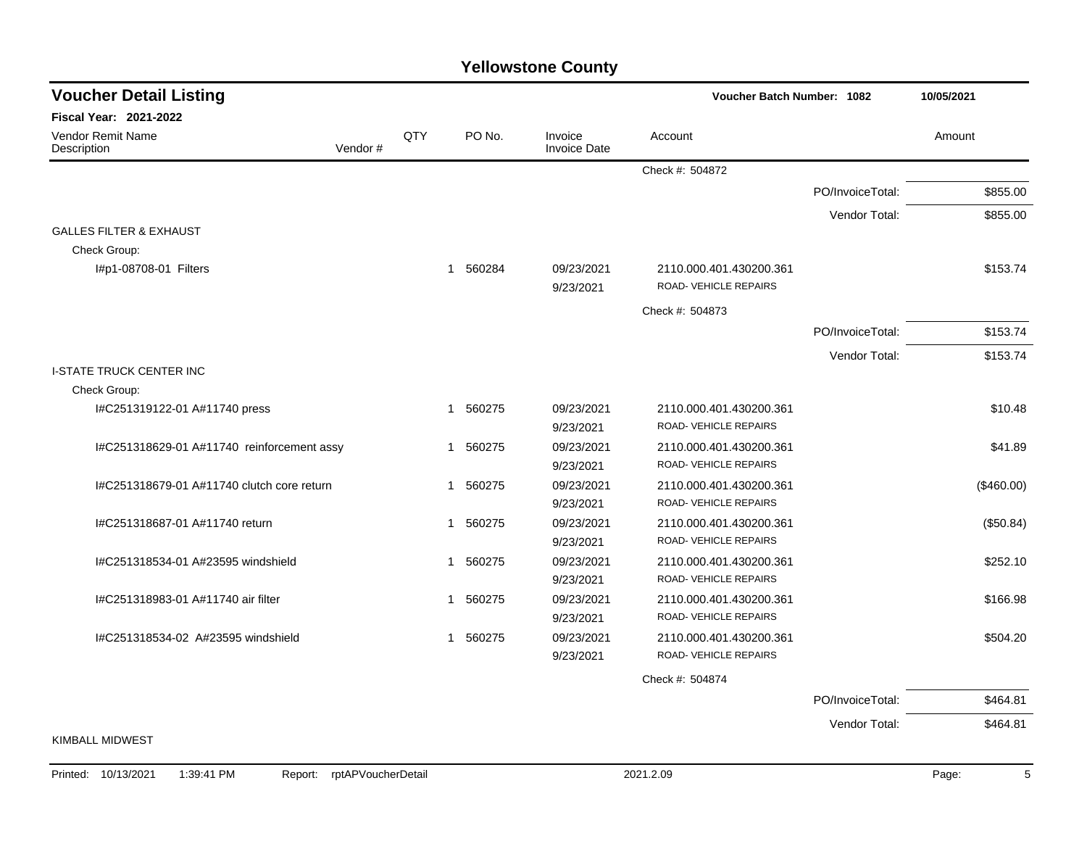| <b>Voucher Detail Listing</b>                                      |     |          |                                | Voucher Batch Number: 1082                       |                  | 10/05/2021 |
|--------------------------------------------------------------------|-----|----------|--------------------------------|--------------------------------------------------|------------------|------------|
| <b>Fiscal Year: 2021-2022</b>                                      |     |          |                                |                                                  |                  |            |
| Vendor Remit Name<br>Description<br>Vendor#                        | QTY | PO No.   | Invoice<br><b>Invoice Date</b> | Account                                          |                  | Amount     |
|                                                                    |     |          |                                | Check #: 504872                                  |                  |            |
|                                                                    |     |          |                                |                                                  | PO/InvoiceTotal: | \$855.00   |
|                                                                    |     |          |                                |                                                  | Vendor Total:    | \$855.00   |
| <b>GALLES FILTER &amp; EXHAUST</b>                                 |     |          |                                |                                                  |                  |            |
| Check Group:                                                       |     |          |                                |                                                  |                  |            |
| l#p1-08708-01 Filters                                              | 1   | 560284   | 09/23/2021<br>9/23/2021        | 2110.000.401.430200.361<br>ROAD-VEHICLE REPAIRS  |                  | \$153.74   |
|                                                                    |     |          |                                | Check #: 504873                                  |                  |            |
|                                                                    |     |          |                                |                                                  | PO/InvoiceTotal: | \$153.74   |
|                                                                    |     |          |                                |                                                  | Vendor Total:    | \$153.74   |
| <b>I-STATE TRUCK CENTER INC</b>                                    |     |          |                                |                                                  |                  |            |
| Check Group:                                                       |     |          |                                |                                                  |                  |            |
| I#C251319122-01 A#11740 press                                      | 1   | 560275   | 09/23/2021<br>9/23/2021        | 2110.000.401.430200.361<br>ROAD-VEHICLE REPAIRS  |                  | \$10.48    |
| I#C251318629-01 A#11740 reinforcement assy                         | 1   | 560275   | 09/23/2021<br>9/23/2021        | 2110.000.401.430200.361<br>ROAD- VEHICLE REPAIRS |                  | \$41.89    |
| I#C251318679-01 A#11740 clutch core return                         | 1   | 560275   | 09/23/2021<br>9/23/2021        | 2110.000.401.430200.361<br>ROAD-VEHICLE REPAIRS  |                  | (\$460.00) |
| I#C251318687-01 A#11740 return                                     |     | 1 560275 | 09/23/2021<br>9/23/2021        | 2110.000.401.430200.361<br>ROAD-VEHICLE REPAIRS  |                  | (\$50.84)  |
| I#C251318534-01 A#23595 windshield                                 |     | 1 560275 | 09/23/2021<br>9/23/2021        | 2110.000.401.430200.361<br>ROAD-VEHICLE REPAIRS  |                  | \$252.10   |
| I#C251318983-01 A#11740 air filter                                 | 1   | 560275   | 09/23/2021<br>9/23/2021        | 2110.000.401.430200.361<br>ROAD-VEHICLE REPAIRS  |                  | \$166.98   |
| #C251318534-02 A#23595 windshield                                  |     | 1 560275 | 09/23/2021<br>9/23/2021        | 2110.000.401.430200.361<br>ROAD-VEHICLE REPAIRS  |                  | \$504.20   |
|                                                                    |     |          |                                | Check #: 504874                                  |                  |            |
|                                                                    |     |          |                                |                                                  | PO/InvoiceTotal: | \$464.81   |
|                                                                    |     |          |                                |                                                  | Vendor Total:    | \$464.81   |
| <b>KIMBALL MIDWEST</b>                                             |     |          |                                |                                                  |                  |            |
| Printed: 10/13/2021<br>1:39:41 PM<br>rptAPVoucherDetail<br>Report: |     |          |                                | 2021.2.09                                        |                  | 5<br>Page: |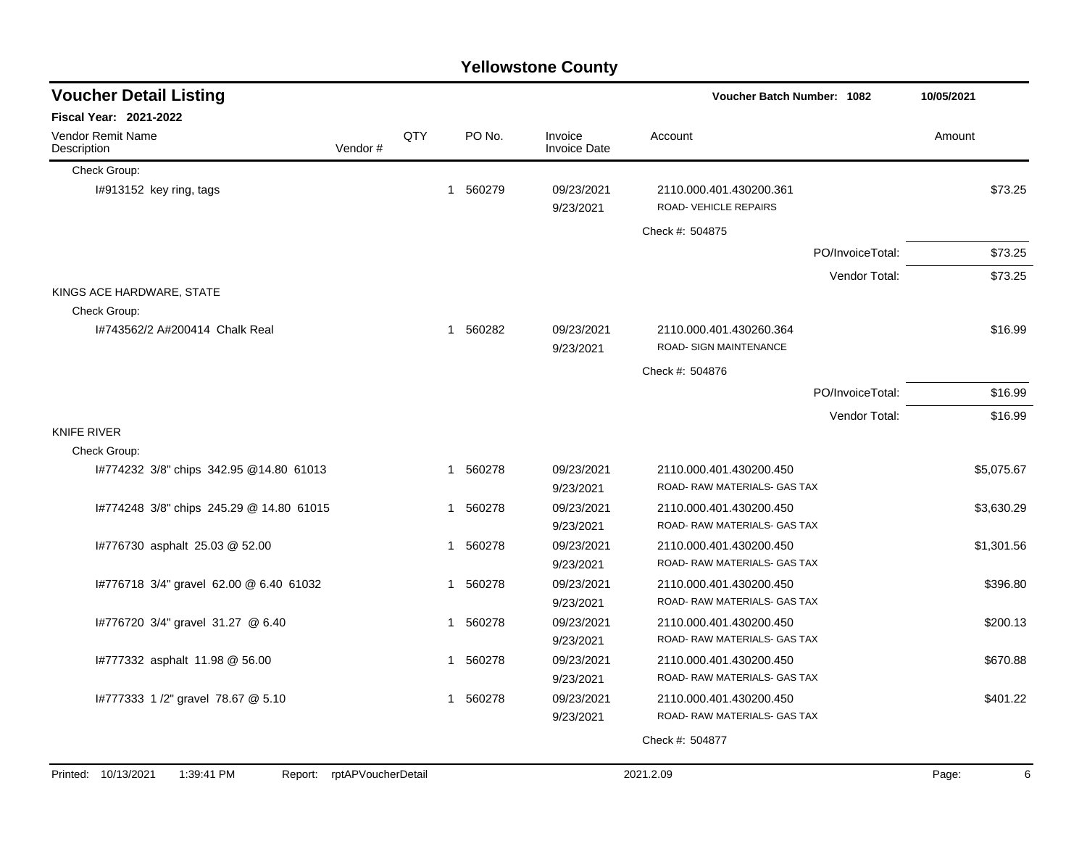|                                          |                            |     |             | <b>Yellowstone County</b>      |                                                   |                  |            |
|------------------------------------------|----------------------------|-----|-------------|--------------------------------|---------------------------------------------------|------------------|------------|
| <b>Voucher Detail Listing</b>            |                            |     |             |                                | <b>Voucher Batch Number: 1082</b>                 |                  | 10/05/2021 |
| Fiscal Year: 2021-2022                   |                            |     |             |                                |                                                   |                  |            |
| Vendor Remit Name<br>Description         | Vendor#                    | QTY | PO No.      | Invoice<br><b>Invoice Date</b> | Account                                           |                  | Amount     |
| Check Group:                             |                            |     |             |                                |                                                   |                  |            |
| I#913152 key ring, tags                  |                            |     | 560279<br>1 | 09/23/2021<br>9/23/2021        | 2110.000.401.430200.361<br>ROAD-VEHICLE REPAIRS   |                  | \$73.25    |
|                                          |                            |     |             |                                | Check #: 504875                                   |                  |            |
|                                          |                            |     |             |                                |                                                   | PO/InvoiceTotal: | \$73.25    |
|                                          |                            |     |             |                                |                                                   | Vendor Total:    | \$73.25    |
| KINGS ACE HARDWARE, STATE                |                            |     |             |                                |                                                   |                  |            |
| Check Group:                             |                            |     |             |                                |                                                   |                  |            |
| 1#743562/2 A#200414 Chalk Real           |                            |     | 560282<br>1 | 09/23/2021<br>9/23/2021        | 2110.000.401.430260.364<br>ROAD- SIGN MAINTENANCE |                  | \$16.99    |
|                                          |                            |     |             |                                | Check #: 504876                                   |                  |            |
|                                          |                            |     |             |                                |                                                   | PO/InvoiceTotal: | \$16.99    |
|                                          |                            |     |             |                                |                                                   | Vendor Total:    | \$16.99    |
| <b>KNIFE RIVER</b>                       |                            |     |             |                                |                                                   |                  |            |
| Check Group:                             |                            |     |             |                                |                                                   |                  |            |
| 1#774232 3/8" chips 342.95 @14.80 61013  |                            |     | 560278<br>1 | 09/23/2021                     | 2110.000.401.430200.450                           |                  | \$5,075.67 |
|                                          |                            |     |             | 9/23/2021                      | ROAD-RAW MATERIALS- GAS TAX                       |                  |            |
| I#774248 3/8" chips 245.29 @ 14.80 61015 |                            |     | 560278<br>1 | 09/23/2021                     | 2110.000.401.430200.450                           |                  | \$3,630.29 |
|                                          |                            |     |             | 9/23/2021                      | ROAD-RAW MATERIALS- GAS TAX                       |                  |            |
| #776730 asphalt 25.03 @ 52.00            |                            |     | 560278<br>1 | 09/23/2021                     | 2110.000.401.430200.450                           |                  | \$1,301.56 |
|                                          |                            |     |             | 9/23/2021                      | ROAD-RAW MATERIALS- GAS TAX                       |                  |            |
| #776718 3/4" gravel 62.00 @ 6.40 61032   |                            |     | 560278<br>1 | 09/23/2021                     | 2110.000.401.430200.450                           |                  | \$396.80   |
|                                          |                            |     |             | 9/23/2021                      | ROAD-RAW MATERIALS- GAS TAX                       |                  |            |
| I#776720 3/4" gravel 31.27 @ 6.40        |                            |     | 560278<br>1 | 09/23/2021                     | 2110.000.401.430200.450                           |                  | \$200.13   |
|                                          |                            |     |             | 9/23/2021                      | ROAD-RAW MATERIALS- GAS TAX                       |                  |            |
| #777332 asphalt 11.98 @ 56.00            |                            |     | 560278<br>1 | 09/23/2021                     | 2110.000.401.430200.450                           |                  | \$670.88   |
|                                          |                            |     |             | 9/23/2021                      | ROAD- RAW MATERIALS- GAS TAX                      |                  |            |
| I#777333 1 /2" gravel 78.67 @ 5.10       |                            |     | 1 560278    | 09/23/2021                     | 2110.000.401.430200.450                           |                  | \$401.22   |
|                                          |                            |     |             | 9/23/2021                      | ROAD-RAW MATERIALS- GAS TAX                       |                  |            |
|                                          |                            |     |             |                                | Check #: 504877                                   |                  |            |
|                                          |                            |     |             |                                |                                                   |                  |            |
| 1:39:41 PM<br>Printed: 10/13/2021        | Report: rptAPVoucherDetail |     |             |                                | 2021.2.09                                         |                  | Page:<br>6 |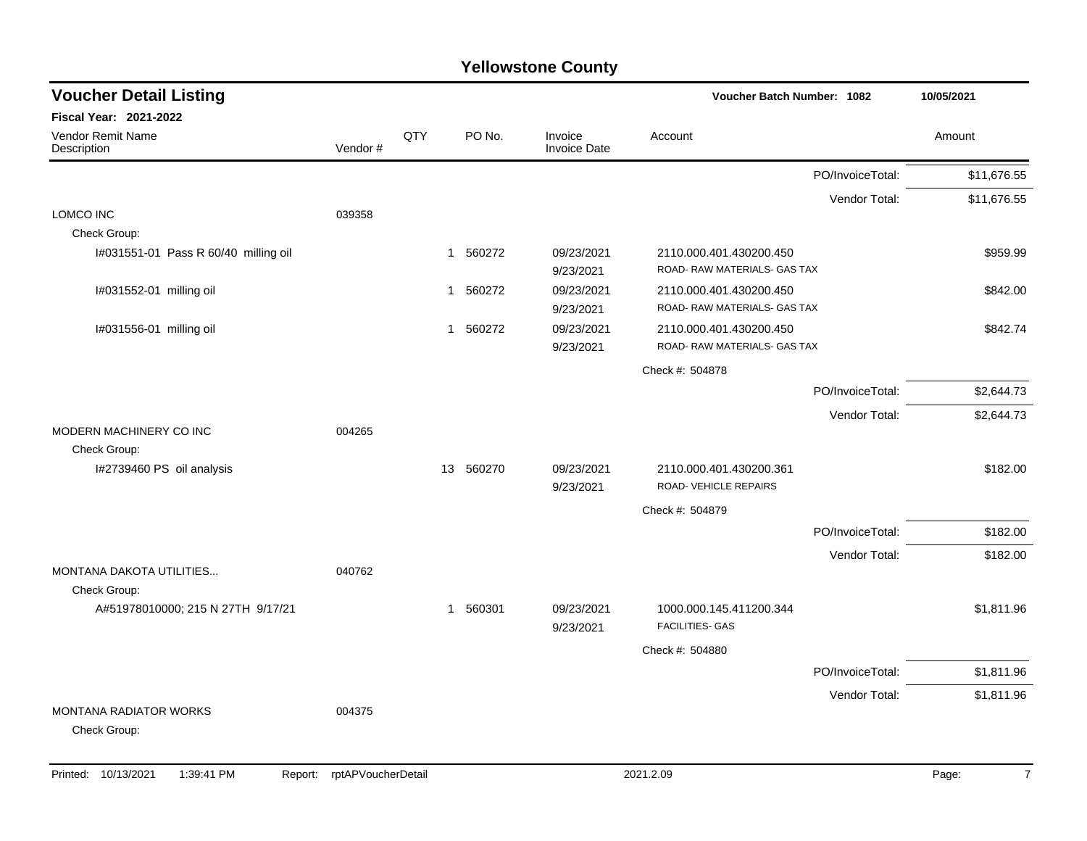| <b>Voucher Detail Listing</b>                     |         |             |           |                         | Voucher Batch Number: 1082                              |                  | 10/05/2021  |
|---------------------------------------------------|---------|-------------|-----------|-------------------------|---------------------------------------------------------|------------------|-------------|
| <b>Fiscal Year: 2021-2022</b>                     |         |             |           |                         |                                                         |                  |             |
| Vendor Remit Name<br>Description                  | Vendor# | QTY         | PO No.    | Invoice<br>Invoice Date | Account                                                 |                  | Amount      |
|                                                   |         |             |           |                         |                                                         | PO/InvoiceTotal: | \$11,676.55 |
| <b>LOMCO INC</b>                                  | 039358  |             |           |                         |                                                         | Vendor Total:    | \$11,676.55 |
| Check Group:                                      |         |             |           |                         |                                                         |                  |             |
| I#031551-01 Pass R 60/40 milling oil              |         | $\mathbf 1$ | 560272    | 09/23/2021<br>9/23/2021 | 2110.000.401.430200.450<br>ROAD- RAW MATERIALS- GAS TAX |                  | \$959.99    |
| I#031552-01 milling oil                           |         | $\mathbf 1$ | 560272    | 09/23/2021<br>9/23/2021 | 2110.000.401.430200.450<br>ROAD- RAW MATERIALS- GAS TAX |                  | \$842.00    |
| I#031556-01 milling oil                           |         | $\mathbf 1$ | 560272    | 09/23/2021<br>9/23/2021 | 2110.000.401.430200.450<br>ROAD- RAW MATERIALS- GAS TAX |                  | \$842.74    |
|                                                   |         |             |           |                         | Check #: 504878                                         |                  |             |
|                                                   |         |             |           |                         |                                                         | PO/InvoiceTotal: | \$2,644.73  |
|                                                   |         |             |           |                         |                                                         | Vendor Total:    | \$2,644.73  |
| MODERN MACHINERY CO INC<br>Check Group:           | 004265  |             |           |                         |                                                         |                  |             |
| I#2739460 PS oil analysis                         |         |             | 13 560270 | 09/23/2021<br>9/23/2021 | 2110.000.401.430200.361<br>ROAD-VEHICLE REPAIRS         |                  | \$182.00    |
|                                                   |         |             |           |                         | Check #: 504879                                         |                  |             |
|                                                   |         |             |           |                         |                                                         | PO/InvoiceTotal: | \$182.00    |
|                                                   |         |             |           |                         |                                                         | Vendor Total:    | \$182.00    |
| MONTANA DAKOTA UTILITIES                          | 040762  |             |           |                         |                                                         |                  |             |
| Check Group:<br>A#51978010000; 215 N 27TH 9/17/21 |         | $\mathbf 1$ | 560301    | 09/23/2021<br>9/23/2021 | 1000.000.145.411200.344<br><b>FACILITIES- GAS</b>       |                  | \$1,811.96  |
|                                                   |         |             |           |                         | Check #: 504880                                         |                  |             |
|                                                   |         |             |           |                         |                                                         | PO/InvoiceTotal: | \$1,811.96  |
|                                                   |         |             |           |                         |                                                         | Vendor Total:    | \$1,811.96  |
| <b>MONTANA RADIATOR WORKS</b><br>Check Group:     | 004375  |             |           |                         |                                                         |                  |             |
|                                                   |         |             |           |                         |                                                         |                  |             |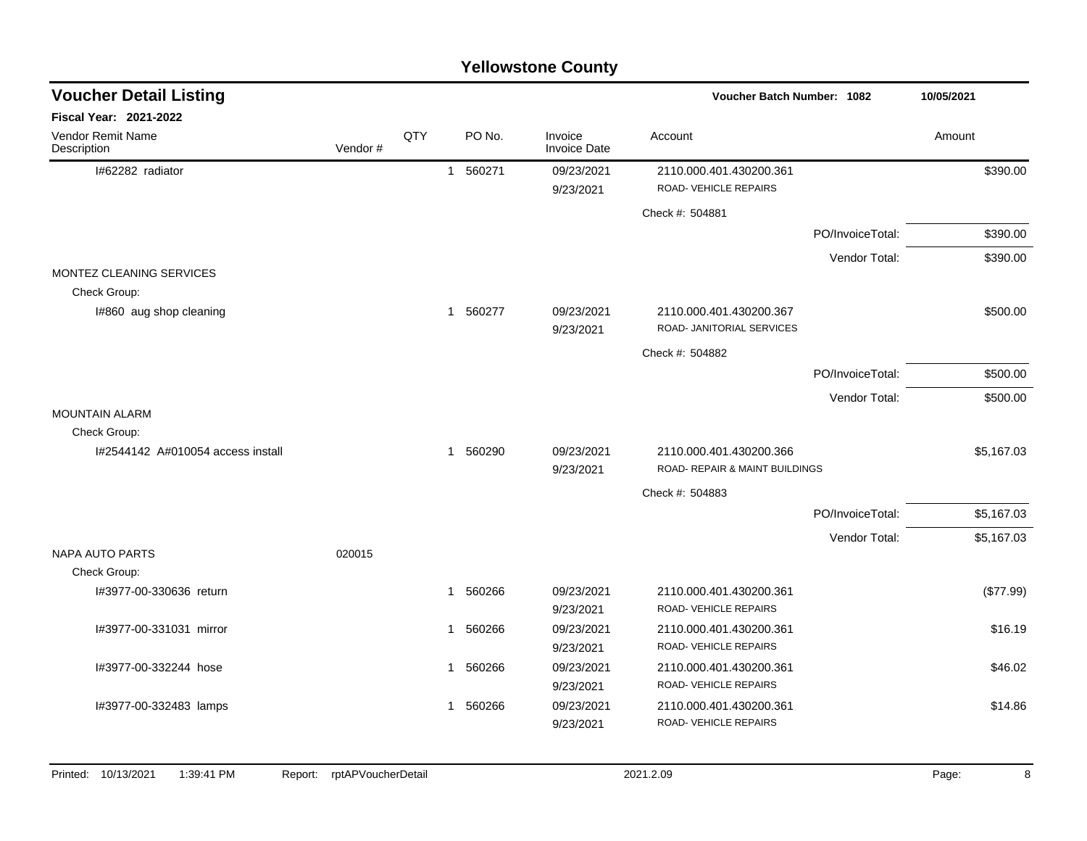## I#62282 radiator 1 560271 09/23/2021 2110.000.401.430200.361 \$390.00 9/23/2021 ROAD- VEHICLE REPAIRS Check #: 504881 PO/InvoiceTotal: \$390.00 Vendor Total: \$390.00 MONTEZ CLEANING SERVICES Check Group: I#860 aug shop cleaning  $\text{3560200}$  360277 09/23/2021 2110.000.401.430200.367 \$500.00 9/23/2021 ROAD- JANITORIAL SERVICES Check #: 504882 PO/InvoiceTotal: \$500.00 Vendor Total: \$500.00 MOUNTAIN ALARM Check Group: I#2544142 A#010054 access install 1 560290 09/23/2021 2110.000.401.430200.366 \$5,167.03 9/23/2021 ROAD- REPAIR & MAINT BUILDINGS Check #: 504883 PO/InvoiceTotal: \$5,167.03 Vendor Total: \$5,167.03 NAPA AUTO PARTS 020015 Check Group: I#3977-00-330636 return 1 560266 09/23/2021 2110.000.401.430200.361 (\$77.99) 9/23/2021 ROAD- VEHICLE REPAIRS I#3977-00-331031 mirror 1 560266 09/23/2021 2110.000.401.430200.361 \$16.19 9/23/2021 ROAD- VEHICLE REPAIRS I#3977-00-332244 hose 1 560266 09/23/2021 2110.000.401.430200.361 \$46.02 9/23/2021 ROAD- VEHICLE REPAIRS I#3977-00-332483 lamps 1 560266 09/23/2021 2110.000.401.430200.361 \$14.86 9/23/2021 ROAD- VEHICLE REPAIRS **Voucher Batch Number: Yellowstone County** Vendor Remit Name **Description Voucher Detail Listing Fiscal Year: 2021-2022 1082 10/05/2021** PO No. Invoice Account Amount Amount Amount Amount Vendor # **QTY** Invoice Date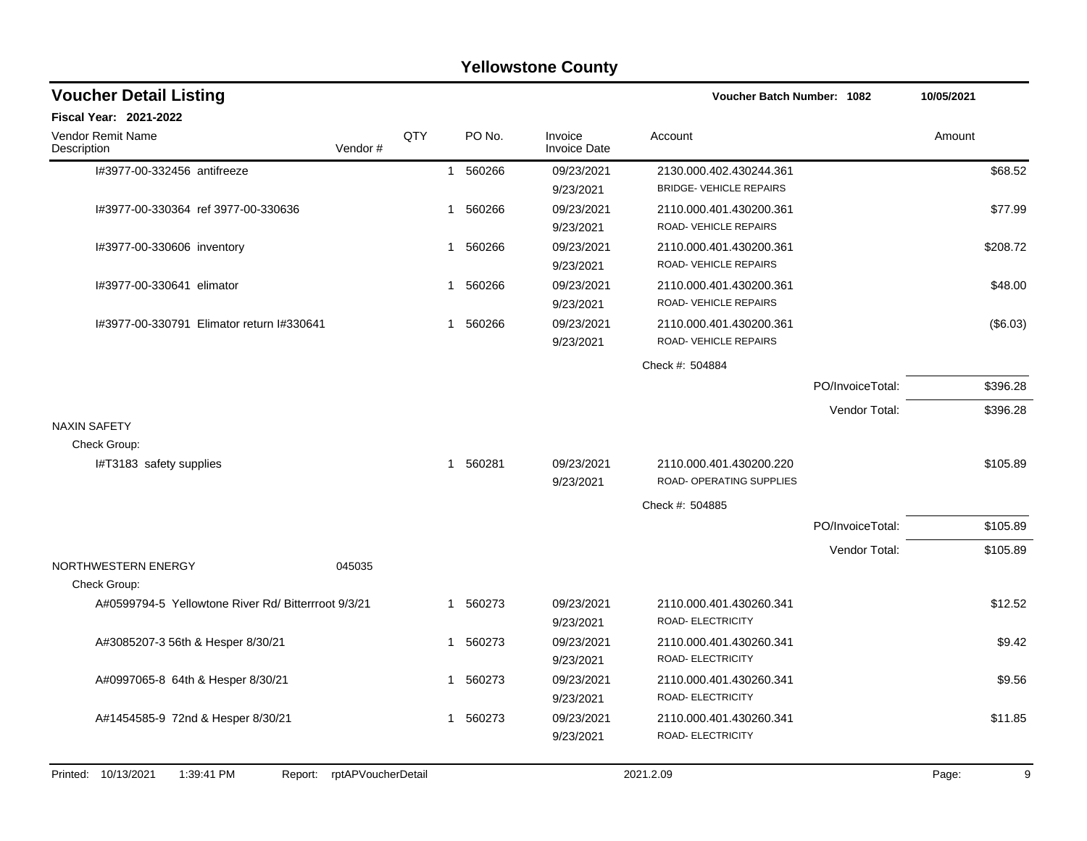## I#3977-00-332456 antifreeze 1 560266 09/23/2021 2130.000.402.430244.361 \$68.52 9/23/2021 BRIDGE- VEHICLE REPAIRS I#3977-00-330364 ref 3977-00-330636 1 560266 09/23/2021 2110.000.401.430200.361 \$77.99 9/23/2021 ROAD- VEHICLE REPAIRS I#3977-00-330606 inventory **1 560266** 09/23/2021 2110.000.401.430200.361 \$208.72 9/23/2021 ROAD- VEHICLE REPAIRS I#3977-00-330641 elimator 1 560266 09/23/2021 2110.000.401.430200.361 \$48.00 9/23/2021 ROAD- VEHICLE REPAIRS I#3977-00-330791 Elimator return I#330641 1 560266 09/23/2021 2110.000.401.430200.361 (\$6.03) 9/23/2021 ROAD- VEHICLE REPAIRS Check #: 504884 PO/InvoiceTotal: \$396.28 Vendor Total: \$396.28 NAXIN SAFETY Check Group: I#T3183 safety supplies 6105.89 \$105.89 \$105.89 \$105.89 \$105.89 \$105.89 \$105.89 9/23/2021 ROAD- OPERATING SUPPLIES Check #: 504885 PO/InvoiceTotal: \$105.89 Vendor Total: \$105.89 NORTHWESTERN ENERGY 045035 Check Group: A#0599794-5 Yellowtone River Rd/ Bitterrroot 9/3/21 1 560273 09/23/2021 2110.000.401.430260.341 \$12.52 9/23/2021 ROAD- ELECTRICITY A#3085207-3 56th & Hesper 8/30/21  $\bullet$  1 560273 09/23/2021 2110.000.401.430260.341 9/23/2021 ROAD- ELECTRICITY A#0997065-8 64th & Hesper 8/30/21 1 560273 09/23/2021 2110.000.401.430260.341 9/23/2021 ROAD- ELECTRICITY A#1454585-9 72nd & Hesper 8/30/21 1 1 560273 09/23/2021 2110.000.401.430260.341 9/23/2021 ROAD- ELECTRICITY **Voucher Batch Number: Yellowstone County** Vendor Remit Name **Description Voucher Detail Listing Fiscal Year: 2021-2022 1082 10/05/2021** PO No. Invoice Account Amount Amount Amount Amount Vendor # **QTY** Invoice Date Printed: 10/13/2021 1:39:41 PM Report: rptAPVoucherDetail 2021.2.09 2021.2.09 Page: 9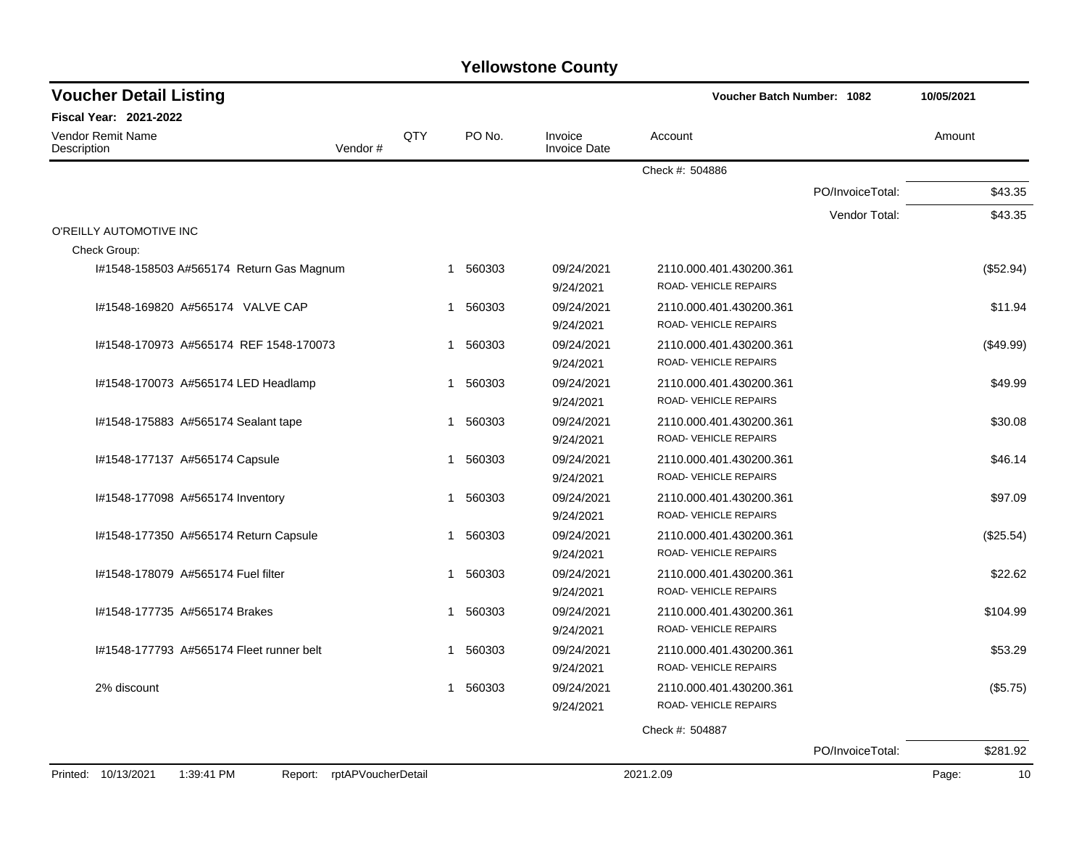| <b>Voucher Detail Listing</b>                                   |              |          |                                | <b>Voucher Batch Number: 1082</b>                       |                  | 10/05/2021  |
|-----------------------------------------------------------------|--------------|----------|--------------------------------|---------------------------------------------------------|------------------|-------------|
| Fiscal Year: 2021-2022                                          |              |          |                                |                                                         |                  |             |
| Vendor Remit Name<br>Vendor#<br>Description                     | QTY          | PO No.   | Invoice<br><b>Invoice Date</b> | Account                                                 |                  | Amount      |
|                                                                 |              |          |                                | Check #: 504886                                         |                  |             |
|                                                                 |              |          |                                |                                                         | PO/InvoiceTotal: | \$43.35     |
|                                                                 |              |          |                                |                                                         | Vendor Total:    | \$43.35     |
| O'REILLY AUTOMOTIVE INC<br>Check Group:                         |              |          |                                |                                                         |                  |             |
| #1548-158503 A#565174 Return Gas Magnum                         | $\mathbf{1}$ | 560303   | 09/24/2021<br>9/24/2021        | 2110.000.401.430200.361<br>ROAD-VEHICLE REPAIRS         |                  | (\$52.94)   |
| I#1548-169820 A#565174 VALVE CAP                                | $\mathbf{1}$ | 560303   | 09/24/2021<br>9/24/2021        | 2110.000.401.430200.361<br><b>ROAD- VEHICLE REPAIRS</b> |                  | \$11.94     |
| #1548-170973 A#565174 REF 1548-170073                           | $\mathbf 1$  | 560303   | 09/24/2021<br>9/24/2021        | 2110.000.401.430200.361<br><b>ROAD- VEHICLE REPAIRS</b> |                  | (\$49.99)   |
| I#1548-170073 A#565174 LED Headlamp                             | 1            | 560303   | 09/24/2021<br>9/24/2021        | 2110.000.401.430200.361<br>ROAD-VEHICLE REPAIRS         |                  | \$49.99     |
| #1548-175883 A#565174 Sealant tape                              | -1           | 560303   | 09/24/2021<br>9/24/2021        | 2110.000.401.430200.361<br>ROAD-VEHICLE REPAIRS         |                  | \$30.08     |
| I#1548-177137 A#565174 Capsule                                  | $\mathbf 1$  | 560303   | 09/24/2021<br>9/24/2021        | 2110.000.401.430200.361<br>ROAD-VEHICLE REPAIRS         |                  | \$46.14     |
| I#1548-177098 A#565174 Inventory                                | 1            | 560303   | 09/24/2021<br>9/24/2021        | 2110.000.401.430200.361<br>ROAD-VEHICLE REPAIRS         |                  | \$97.09     |
| I#1548-177350 A#565174 Return Capsule                           | 1            | 560303   | 09/24/2021<br>9/24/2021        | 2110.000.401.430200.361<br>ROAD- VEHICLE REPAIRS        |                  | (\$25.54)   |
| I#1548-178079 A#565174 Fuel filter                              |              | 1 560303 | 09/24/2021<br>9/24/2021        | 2110.000.401.430200.361<br>ROAD- VEHICLE REPAIRS        |                  | \$22.62     |
| #1548-177735 A#565174 Brakes                                    | $\mathbf{1}$ | 560303   | 09/24/2021<br>9/24/2021        | 2110.000.401.430200.361<br><b>ROAD- VEHICLE REPAIRS</b> |                  | \$104.99    |
| 1#1548-177793 A#565174 Fleet runner belt                        | 1            | 560303   | 09/24/2021<br>9/24/2021        | 2110.000.401.430200.361<br>ROAD-VEHICLE REPAIRS         |                  | \$53.29     |
| 2% discount                                                     | $\mathbf 1$  | 560303   | 09/24/2021<br>9/24/2021        | 2110.000.401.430200.361<br>ROAD-VEHICLE REPAIRS         |                  | (\$5.75)    |
|                                                                 |              |          |                                | Check #: 504887                                         |                  |             |
|                                                                 |              |          |                                |                                                         | PO/InvoiceTotal: | \$281.92    |
| Printed: 10/13/2021<br>1:39:41 PM<br>Report: rptAPVoucherDetail |              |          |                                | 2021.2.09                                               |                  | 10<br>Page: |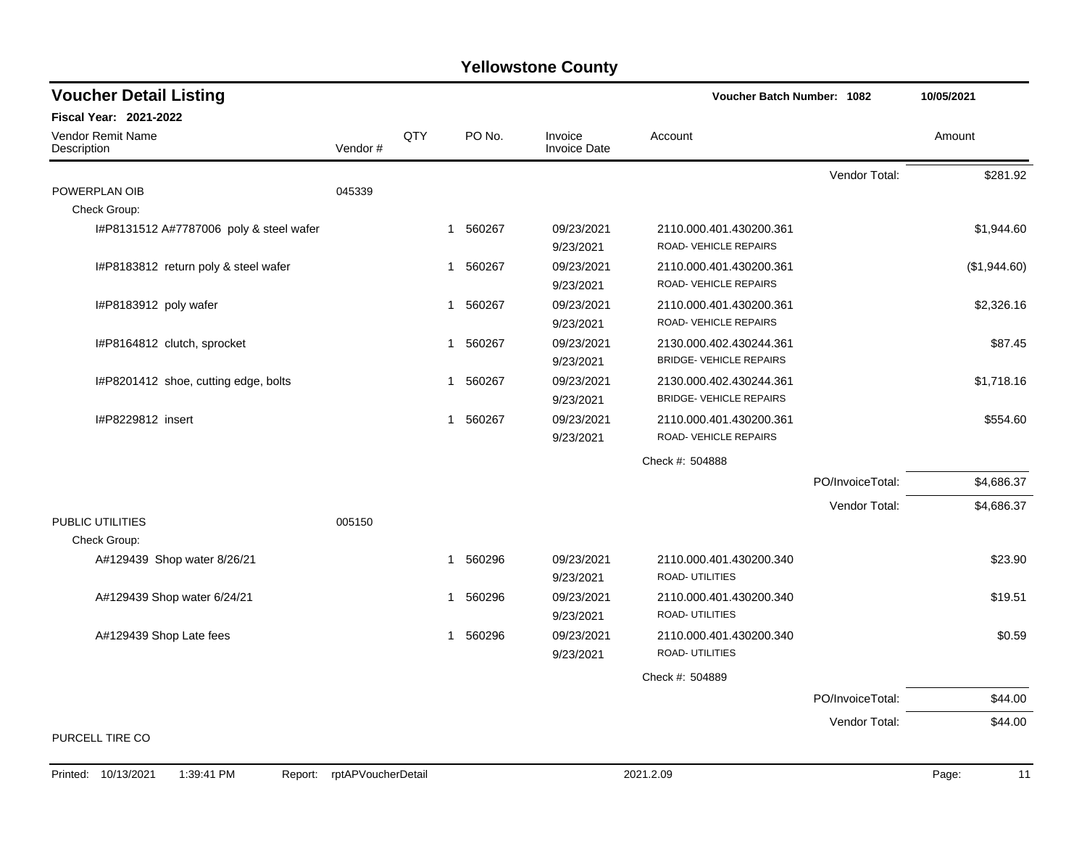| <b>Voucher Detail Listing</b>               |         |              |          |                                | <b>Voucher Batch Number: 1082</b>                         |                  | 10/05/2021   |
|---------------------------------------------|---------|--------------|----------|--------------------------------|-----------------------------------------------------------|------------------|--------------|
| Fiscal Year: 2021-2022                      |         |              |          |                                |                                                           |                  |              |
| <b>Vendor Remit Name</b><br>Description     | Vendor# | QTY          | PO No.   | Invoice<br><b>Invoice Date</b> | Account                                                   |                  | Amount       |
|                                             |         |              |          |                                |                                                           | Vendor Total:    | \$281.92     |
| POWERPLAN OIB                               | 045339  |              |          |                                |                                                           |                  |              |
| Check Group:                                |         |              |          |                                |                                                           |                  |              |
| I#P8131512 A#7787006 poly & steel wafer     |         |              | 1 560267 | 09/23/2021<br>9/23/2021        | 2110.000.401.430200.361<br>ROAD- VEHICLE REPAIRS          |                  | \$1,944.60   |
| I#P8183812 return poly & steel wafer        |         | $\mathbf 1$  | 560267   | 09/23/2021<br>9/23/2021        | 2110.000.401.430200.361<br>ROAD-VEHICLE REPAIRS           |                  | (\$1,944.60) |
| I#P8183912 poly wafer                       |         | $\mathbf{1}$ | 560267   | 09/23/2021<br>9/23/2021        | 2110.000.401.430200.361<br>ROAD-VEHICLE REPAIRS           |                  | \$2,326.16   |
| I#P8164812 clutch, sprocket                 |         |              | 1 560267 | 09/23/2021<br>9/23/2021        | 2130.000.402.430244.361<br><b>BRIDGE- VEHICLE REPAIRS</b> |                  | \$87.45      |
| I#P8201412 shoe, cutting edge, bolts        |         | $\mathbf 1$  | 560267   | 09/23/2021<br>9/23/2021        | 2130.000.402.430244.361<br><b>BRIDGE- VEHICLE REPAIRS</b> |                  | \$1,718.16   |
| I#P8229812 insert                           |         |              | 1 560267 | 09/23/2021<br>9/23/2021        | 2110.000.401.430200.361<br>ROAD- VEHICLE REPAIRS          |                  | \$554.60     |
|                                             |         |              |          |                                | Check #: 504888                                           |                  |              |
|                                             |         |              |          |                                |                                                           | PO/InvoiceTotal: | \$4,686.37   |
|                                             |         |              |          |                                |                                                           | Vendor Total:    | \$4,686.37   |
| PUBLIC UTILITIES                            | 005150  |              |          |                                |                                                           |                  |              |
| Check Group:<br>A#129439 Shop water 8/26/21 |         | 1            | 560296   | 09/23/2021<br>9/23/2021        | 2110.000.401.430200.340<br><b>ROAD- UTILITIES</b>         |                  | \$23.90      |
| A#129439 Shop water 6/24/21                 |         |              | 1 560296 | 09/23/2021<br>9/23/2021        | 2110.000.401.430200.340<br>ROAD- UTILITIES                |                  | \$19.51      |
| A#129439 Shop Late fees                     |         | $\mathbf{1}$ | 560296   | 09/23/2021<br>9/23/2021        | 2110.000.401.430200.340<br><b>ROAD- UTILITIES</b>         |                  | \$0.59       |
|                                             |         |              |          |                                | Check #: 504889                                           |                  |              |
|                                             |         |              |          |                                |                                                           | PO/InvoiceTotal: | \$44.00      |
|                                             |         |              |          |                                |                                                           | Vendor Total:    | \$44.00      |
| PURCELL TIRE CO                             |         |              |          |                                |                                                           |                  |              |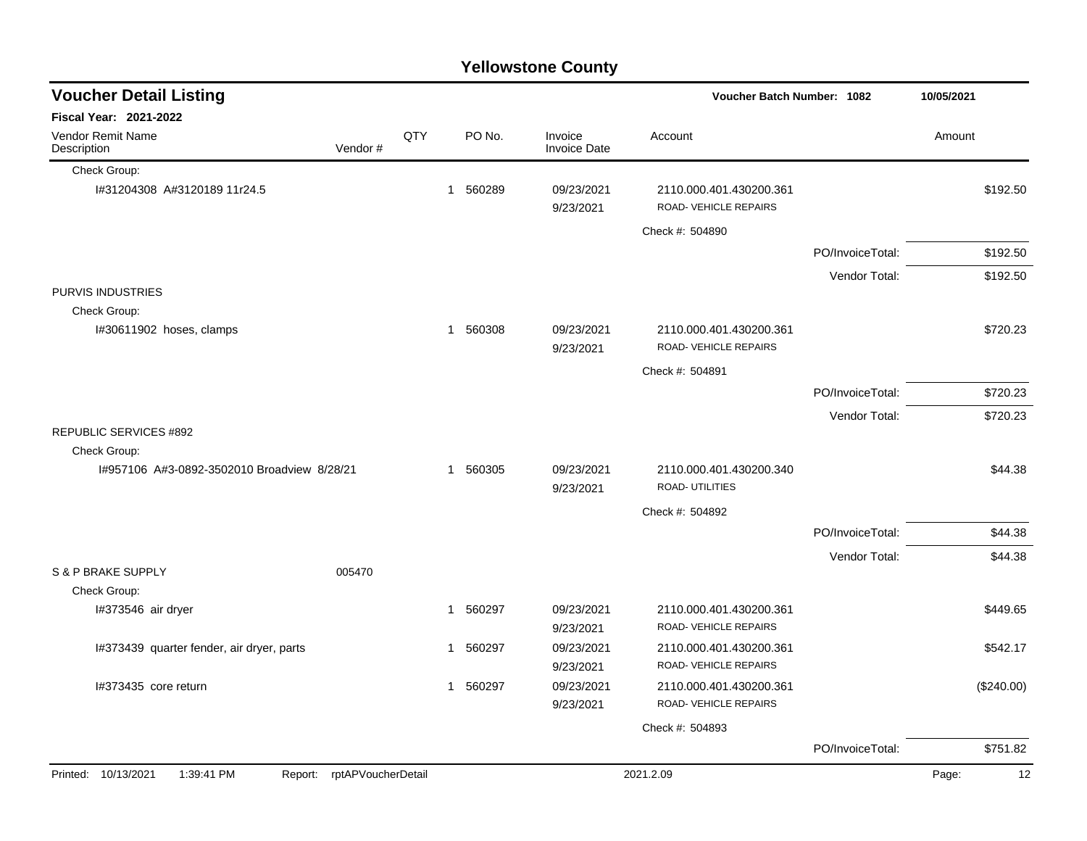|                                             |                            |     |             | <b>Yellowstone County</b>      |                                                  |                  |             |
|---------------------------------------------|----------------------------|-----|-------------|--------------------------------|--------------------------------------------------|------------------|-------------|
| <b>Voucher Detail Listing</b>               |                            |     |             |                                | <b>Voucher Batch Number: 1082</b>                |                  | 10/05/2021  |
| <b>Fiscal Year: 2021-2022</b>               |                            |     |             |                                |                                                  |                  |             |
| <b>Vendor Remit Name</b><br>Description     | Vendor#                    | QTY | PO No.      | Invoice<br><b>Invoice Date</b> | Account                                          |                  | Amount      |
| Check Group:                                |                            |     |             |                                |                                                  |                  |             |
| I#31204308 A#3120189 11r24.5                |                            |     | 560289<br>1 | 09/23/2021<br>9/23/2021        | 2110.000.401.430200.361<br>ROAD-VEHICLE REPAIRS  |                  | \$192.50    |
|                                             |                            |     |             |                                | Check #: 504890                                  |                  |             |
|                                             |                            |     |             |                                |                                                  | PO/InvoiceTotal: | \$192.50    |
|                                             |                            |     |             |                                |                                                  | Vendor Total:    | \$192.50    |
| PURVIS INDUSTRIES                           |                            |     |             |                                |                                                  |                  |             |
| Check Group:                                |                            |     |             |                                |                                                  |                  |             |
| I#30611902 hoses, clamps                    |                            |     | 1 560308    | 09/23/2021<br>9/23/2021        | 2110.000.401.430200.361<br>ROAD-VEHICLE REPAIRS  |                  | \$720.23    |
|                                             |                            |     |             |                                | Check #: 504891                                  |                  |             |
|                                             |                            |     |             |                                |                                                  | PO/InvoiceTotal: | \$720.23    |
|                                             |                            |     |             |                                |                                                  | Vendor Total:    | \$720.23    |
| REPUBLIC SERVICES #892                      |                            |     |             |                                |                                                  |                  |             |
| Check Group:                                |                            |     |             |                                |                                                  |                  |             |
| I#957106 A#3-0892-3502010 Broadview 8/28/21 |                            |     | 560305<br>1 | 09/23/2021<br>9/23/2021        | 2110.000.401.430200.340<br><b>ROAD-UTILITIES</b> |                  | \$44.38     |
|                                             |                            |     |             |                                | Check #: 504892                                  |                  |             |
|                                             |                            |     |             |                                |                                                  | PO/InvoiceTotal: | \$44.38     |
|                                             |                            |     |             |                                |                                                  | Vendor Total:    | \$44.38     |
| S & P BRAKE SUPPLY                          | 005470                     |     |             |                                |                                                  |                  |             |
| Check Group:                                |                            |     |             |                                |                                                  |                  |             |
| I#373546 air dryer                          |                            |     | 560297<br>1 | 09/23/2021<br>9/23/2021        | 2110.000.401.430200.361<br>ROAD-VEHICLE REPAIRS  |                  | \$449.65    |
| 1#373439 quarter fender, air dryer, parts   |                            |     | 560297<br>1 | 09/23/2021                     | 2110.000.401.430200.361                          |                  | \$542.17    |
|                                             |                            |     |             | 9/23/2021                      | <b>ROAD-VEHICLE REPAIRS</b>                      |                  |             |
| I#373435 core return                        |                            |     | 1 560297    | 09/23/2021                     | 2110.000.401.430200.361                          |                  | (\$240.00)  |
|                                             |                            |     |             | 9/23/2021                      | ROAD-VEHICLE REPAIRS                             |                  |             |
|                                             |                            |     |             |                                | Check #: 504893                                  |                  |             |
|                                             |                            |     |             |                                |                                                  | PO/InvoiceTotal: | \$751.82    |
| Printed: 10/13/2021<br>1:39:41 PM           | Report: rptAPVoucherDetail |     |             |                                | 2021.2.09                                        |                  | Page:<br>12 |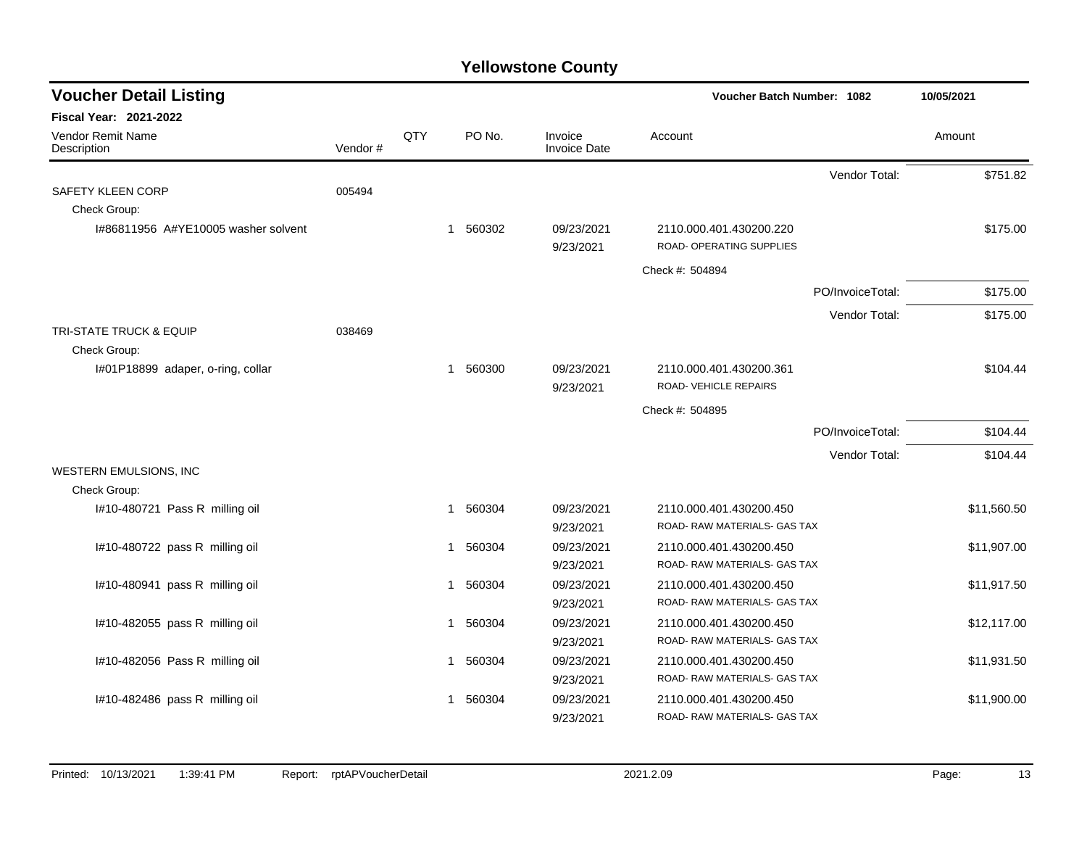| <b>Voucher Detail Listing</b>           |         |     |              |          |                         | Voucher Batch Number: 1082                              |                  | 10/05/2021  |
|-----------------------------------------|---------|-----|--------------|----------|-------------------------|---------------------------------------------------------|------------------|-------------|
| <b>Fiscal Year: 2021-2022</b>           |         |     |              |          |                         |                                                         |                  |             |
| <b>Vendor Remit Name</b><br>Description | Vendor# | QTY |              | PO No.   | Invoice<br>Invoice Date | Account                                                 |                  | Amount      |
|                                         |         |     |              |          |                         |                                                         | Vendor Total:    | \$751.82    |
| SAFETY KLEEN CORP                       | 005494  |     |              |          |                         |                                                         |                  |             |
| Check Group:                            |         |     |              |          |                         |                                                         |                  |             |
| 1#86811956 A#YE10005 washer solvent     |         |     | $\mathbf{1}$ | 560302   | 09/23/2021<br>9/23/2021 | 2110.000.401.430200.220<br>ROAD- OPERATING SUPPLIES     |                  | \$175.00    |
|                                         |         |     |              |          |                         | Check #: 504894                                         |                  |             |
|                                         |         |     |              |          |                         |                                                         | PO/InvoiceTotal: | \$175.00    |
|                                         |         |     |              |          |                         |                                                         | Vendor Total:    | \$175.00    |
| <b>TRI-STATE TRUCK &amp; EQUIP</b>      | 038469  |     |              |          |                         |                                                         |                  |             |
| Check Group:                            |         |     |              |          |                         |                                                         |                  |             |
| I#01P18899 adaper, o-ring, collar       |         |     | $\mathbf 1$  | 560300   | 09/23/2021<br>9/23/2021 | 2110.000.401.430200.361<br>ROAD- VEHICLE REPAIRS        |                  | \$104.44    |
|                                         |         |     |              |          |                         | Check #: 504895                                         |                  |             |
|                                         |         |     |              |          |                         |                                                         | PO/InvoiceTotal: | \$104.44    |
|                                         |         |     |              |          |                         |                                                         | Vendor Total:    | \$104.44    |
| WESTERN EMULSIONS, INC                  |         |     |              |          |                         |                                                         |                  |             |
| Check Group:                            |         |     |              |          |                         |                                                         |                  |             |
| I#10-480721 Pass R milling oil          |         |     | $\mathbf{1}$ | 560304   | 09/23/2021              | 2110.000.401.430200.450<br>ROAD- RAW MATERIALS- GAS TAX |                  | \$11,560.50 |
|                                         |         |     |              |          | 9/23/2021               |                                                         |                  |             |
| I#10-480722 pass R milling oil          |         |     | $\mathbf 1$  | 560304   | 09/23/2021<br>9/23/2021 | 2110.000.401.430200.450<br>ROAD-RAW MATERIALS- GAS TAX  |                  | \$11,907.00 |
| I#10-480941 pass R milling oil          |         |     |              | 1 560304 | 09/23/2021              | 2110.000.401.430200.450                                 |                  | \$11,917.50 |
|                                         |         |     |              |          | 9/23/2021               | ROAD-RAW MATERIALS- GAS TAX                             |                  |             |
| I#10-482055 pass R milling oil          |         |     |              | 1 560304 | 09/23/2021              | 2110.000.401.430200.450                                 |                  | \$12,117.00 |
|                                         |         |     |              |          | 9/23/2021               | ROAD-RAW MATERIALS- GAS TAX                             |                  |             |
| I#10-482056 Pass R milling oil          |         |     | 1            | 560304   | 09/23/2021              | 2110.000.401.430200.450                                 |                  | \$11,931.50 |
|                                         |         |     |              |          | 9/23/2021               | ROAD- RAW MATERIALS- GAS TAX                            |                  |             |
| I#10-482486 pass R milling oil          |         |     | 1            | 560304   | 09/23/2021              | 2110.000.401.430200.450                                 |                  | \$11,900.00 |
|                                         |         |     |              |          | 9/23/2021               | ROAD-RAW MATERIALS- GAS TAX                             |                  |             |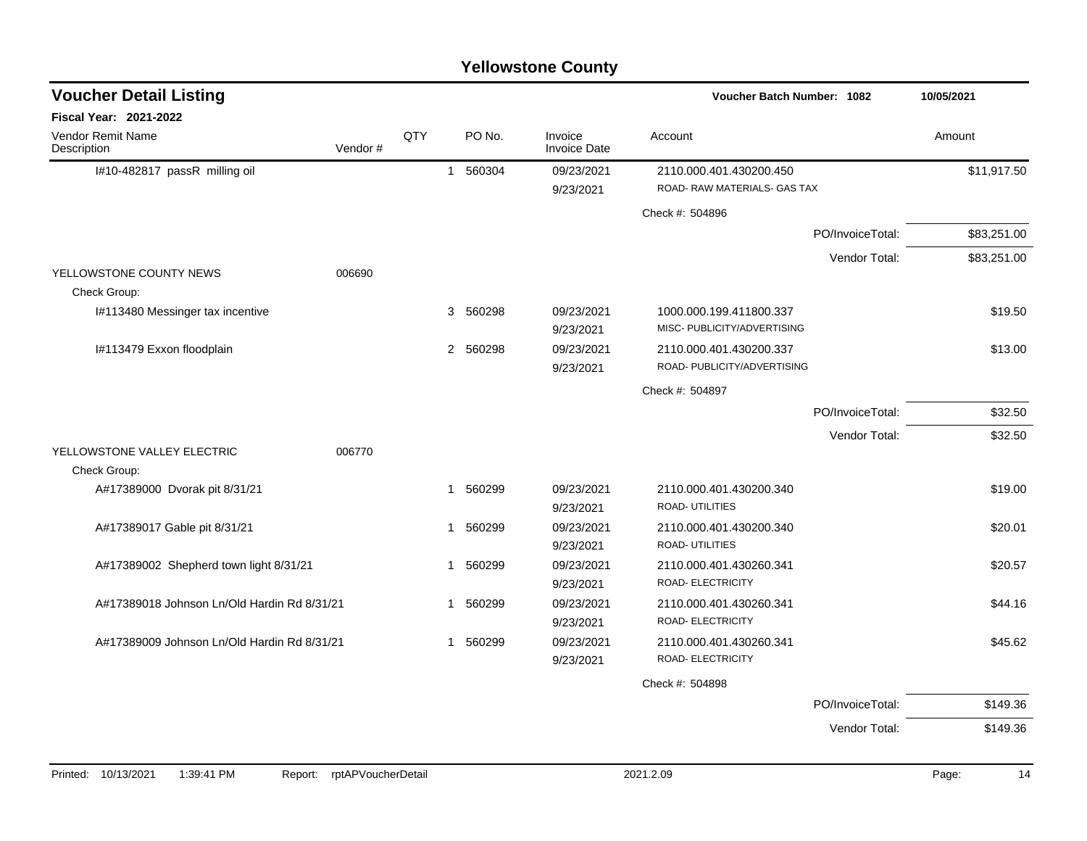| <b>Voucher Detail Listing</b>               |         |     |                        |                                | Voucher Batch Number: 1082                              |                  | 10/05/2021  |
|---------------------------------------------|---------|-----|------------------------|--------------------------------|---------------------------------------------------------|------------------|-------------|
| <b>Fiscal Year: 2021-2022</b>               |         |     |                        |                                |                                                         |                  |             |
| <b>Vendor Remit Name</b><br>Description     | Vendor# | QTY | PO No.                 | Invoice<br><b>Invoice Date</b> | Account                                                 |                  | Amount      |
| I#10-482817 passR milling oil               |         |     | 560304<br>$\mathbf{1}$ | 09/23/2021<br>9/23/2021        | 2110.000.401.430200.450<br>ROAD- RAW MATERIALS- GAS TAX |                  | \$11,917.50 |
|                                             |         |     |                        |                                | Check #: 504896                                         |                  |             |
|                                             |         |     |                        |                                |                                                         | PO/InvoiceTotal: | \$83,251.00 |
|                                             |         |     |                        |                                |                                                         | Vendor Total:    | \$83,251.00 |
| YELLOWSTONE COUNTY NEWS<br>Check Group:     | 006690  |     |                        |                                |                                                         |                  |             |
| I#113480 Messinger tax incentive            |         |     | 3 560298               | 09/23/2021<br>9/23/2021        | 1000.000.199.411800.337<br>MISC- PUBLICITY/ADVERTISING  |                  | \$19.50     |
| I#113479 Exxon floodplain                   |         |     | 2 560298               | 09/23/2021<br>9/23/2021        | 2110.000.401.430200.337<br>ROAD- PUBLICITY/ADVERTISING  |                  | \$13.00     |
|                                             |         |     |                        |                                | Check #: 504897                                         |                  |             |
|                                             |         |     |                        |                                |                                                         | PO/InvoiceTotal: | \$32.50     |
|                                             |         |     |                        |                                |                                                         | Vendor Total:    | \$32.50     |
| YELLOWSTONE VALLEY ELECTRIC<br>Check Group: | 006770  |     |                        |                                |                                                         |                  |             |
| A#17389000 Dvorak pit 8/31/21               |         |     | 560299<br>-1           | 09/23/2021<br>9/23/2021        | 2110.000.401.430200.340<br>ROAD- UTILITIES              |                  | \$19.00     |
| A#17389017 Gable pit 8/31/21                |         |     | 560299<br>1            | 09/23/2021<br>9/23/2021        | 2110.000.401.430200.340<br>ROAD- UTILITIES              |                  | \$20.01     |
| A#17389002 Shepherd town light 8/31/21      |         |     | 560299<br>-1           | 09/23/2021<br>9/23/2021        | 2110.000.401.430260.341<br>ROAD- ELECTRICITY            |                  | \$20.57     |
| A#17389018 Johnson Ln/Old Hardin Rd 8/31/21 |         |     | 560299<br>-1           | 09/23/2021<br>9/23/2021        | 2110.000.401.430260.341<br>ROAD- ELECTRICITY            |                  | \$44.16     |
| A#17389009 Johnson Ln/Old Hardin Rd 8/31/21 |         |     | 560299<br>1            | 09/23/2021<br>9/23/2021        | 2110.000.401.430260.341<br>ROAD- ELECTRICITY            |                  | \$45.62     |
|                                             |         |     |                        |                                | Check #: 504898                                         |                  |             |
|                                             |         |     |                        |                                |                                                         | PO/InvoiceTotal: | \$149.36    |
|                                             |         |     |                        |                                |                                                         | Vendor Total:    | \$149.36    |